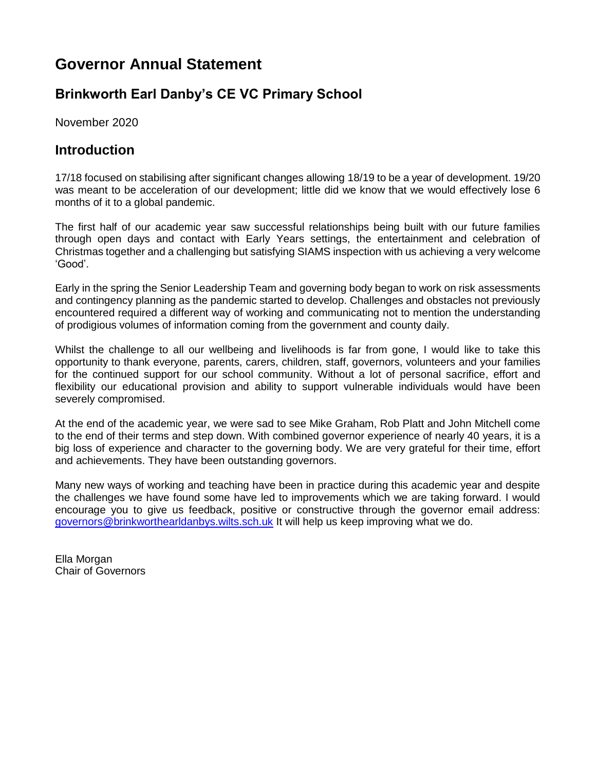# **Governor Annual Statement**

## **Brinkworth Earl Danby's CE VC Primary School**

November 2020

### **Introduction**

17/18 focused on stabilising after significant changes allowing 18/19 to be a year of development. 19/20 was meant to be acceleration of our development; little did we know that we would effectively lose 6 months of it to a global pandemic.

The first half of our academic year saw successful relationships being built with our future families through open days and contact with Early Years settings, the entertainment and celebration of Christmas together and a challenging but satisfying SIAMS inspection with us achieving a very welcome 'Good'.

Early in the spring the Senior Leadership Team and governing body began to work on risk assessments and contingency planning as the pandemic started to develop. Challenges and obstacles not previously encountered required a different way of working and communicating not to mention the understanding of prodigious volumes of information coming from the government and county daily.

Whilst the challenge to all our wellbeing and livelihoods is far from gone, I would like to take this opportunity to thank everyone, parents, carers, children, staff, governors, volunteers and your families for the continued support for our school community. Without a lot of personal sacrifice, effort and flexibility our educational provision and ability to support vulnerable individuals would have been severely compromised.

At the end of the academic year, we were sad to see Mike Graham, Rob Platt and John Mitchell come to the end of their terms and step down. With combined governor experience of nearly 40 years, it is a big loss of experience and character to the governing body. We are very grateful for their time, effort and achievements. They have been outstanding governors.

Many new ways of working and teaching have been in practice during this academic year and despite the challenges we have found some have led to improvements which we are taking forward. I would encourage you to give us feedback, positive or constructive through the governor email address: [governors@brinkworthearldanbys.wilts.sch.uk](mailto:governors@brinkworthearldanbys.wilts.sch.uk) It will help us keep improving what we do.

Ella Morgan Chair of Governors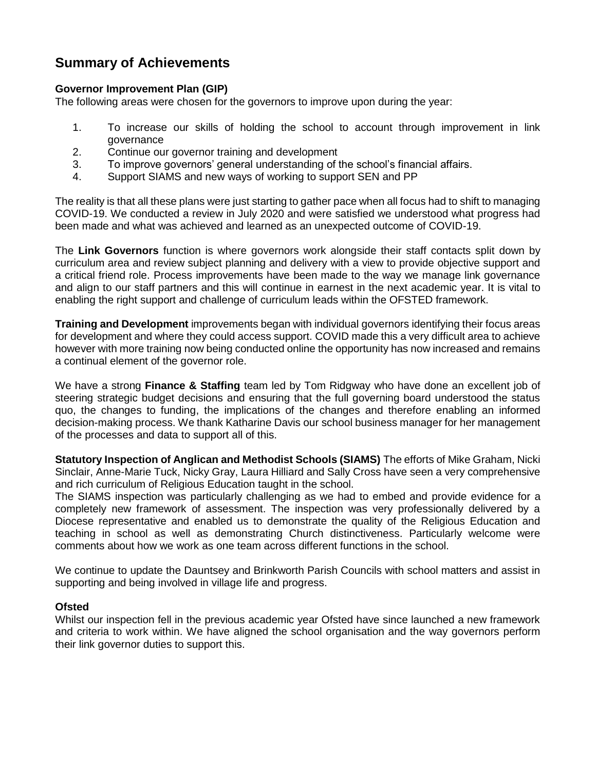## **Summary of Achievements**

#### **Governor Improvement Plan (GIP)**

The following areas were chosen for the governors to improve upon during the year:

- 1. To increase our skills of holding the school to account through improvement in link governance
- 2. Continue our governor training and development
- 3. To improve governors' general understanding of the school's financial affairs.
- 4. Support SIAMS and new ways of working to support SEN and PP

The reality is that all these plans were just starting to gather pace when all focus had to shift to managing COVID-19. We conducted a review in July 2020 and were satisfied we understood what progress had been made and what was achieved and learned as an unexpected outcome of COVID-19.

The **Link Governors** function is where governors work alongside their staff contacts split down by curriculum area and review subject planning and delivery with a view to provide objective support and a critical friend role. Process improvements have been made to the way we manage link governance and align to our staff partners and this will continue in earnest in the next academic year. It is vital to enabling the right support and challenge of curriculum leads within the OFSTED framework.

**Training and Development** improvements began with individual governors identifying their focus areas for development and where they could access support. COVID made this a very difficult area to achieve however with more training now being conducted online the opportunity has now increased and remains a continual element of the governor role.

We have a strong **Finance & Staffing** team led by Tom Ridgway who have done an excellent job of steering strategic budget decisions and ensuring that the full governing board understood the status quo, the changes to funding, the implications of the changes and therefore enabling an informed decision-making process. We thank Katharine Davis our school business manager for her management of the processes and data to support all of this.

**Statutory Inspection of Anglican and Methodist Schools (SIAMS)** The efforts of Mike Graham, Nicki Sinclair, Anne-Marie Tuck, Nicky Gray, Laura Hilliard and Sally Cross have seen a very comprehensive and rich curriculum of Religious Education taught in the school.

The SIAMS inspection was particularly challenging as we had to embed and provide evidence for a completely new framework of assessment. The inspection was very professionally delivered by a Diocese representative and enabled us to demonstrate the quality of the Religious Education and teaching in school as well as demonstrating Church distinctiveness. Particularly welcome were comments about how we work as one team across different functions in the school.

We continue to update the Dauntsey and Brinkworth Parish Councils with school matters and assist in supporting and being involved in village life and progress.

#### **Ofsted**

Whilst our inspection fell in the previous academic year Ofsted have since launched a new framework and criteria to work within. We have aligned the school organisation and the way governors perform their link governor duties to support this.